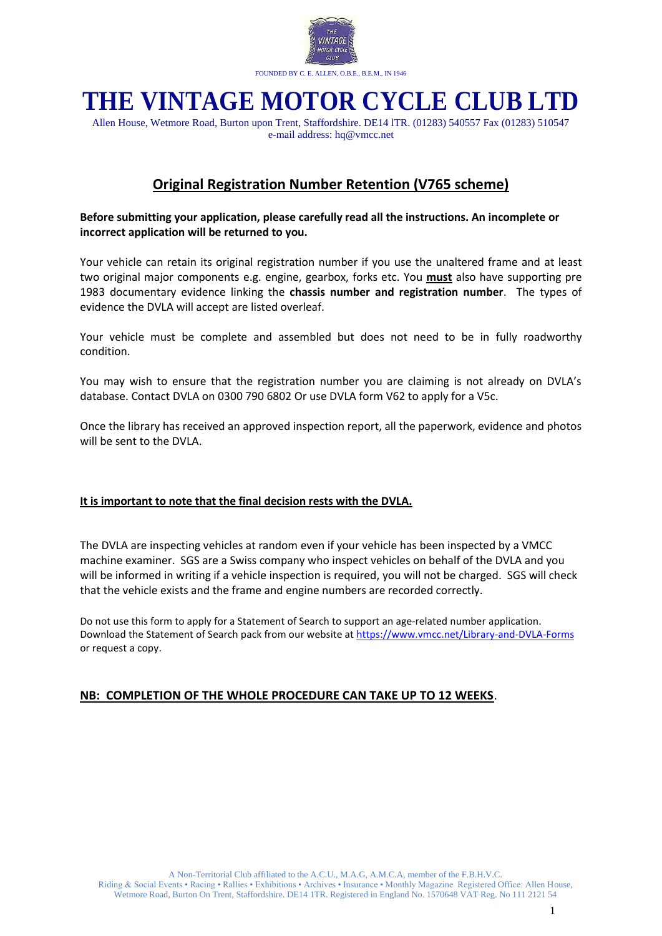

# **THE VINTAGE MOTOR CYCLE CLUB LTD**

Allen House, Wetmore Road, Burton upon Trent, Staffordshire. DE14 lTR. (01283) 540557 Fax (01283) 510547 e-mail address: hq@vmcc.net

### **Original Registration Number Retention (V765 scheme)**

#### **Before submitting your application, please carefully read all the instructions. An incomplete or incorrect application will be returned to you.**

Your vehicle can retain its original registration number if you use the unaltered frame and at least two original major components e.g. engine, gearbox, forks etc. You **must** also have supporting pre 1983 documentary evidence linking the **chassis number and registration number**. The types of evidence the DVLA will accept are listed overleaf.

Your vehicle must be complete and assembled but does not need to be in fully roadworthy condition.

You may wish to ensure that the registration number you are claiming is not already on DVLA's database. Contact DVLA on 0300 790 6802 Or use DVLA form V62 to apply for a V5c.

Once the library has received an approved inspection report, all the paperwork, evidence and photos will be sent to the DVLA.

#### **It is important to note that the final decision rests with the DVLA.**

The DVLA are inspecting vehicles at random even if your vehicle has been inspected by a VMCC machine examiner. SGS are a Swiss company who inspect vehicles on behalf of the DVLA and you will be informed in writing if a vehicle inspection is required, you will not be charged. SGS will check that the vehicle exists and the frame and engine numbers are recorded correctly.

Do not use this form to apply for a Statement of Search to support an age-related number application. Download the Statement of Search pack from our website a[t https://www.vmcc.net/Library-and-DVLA-Forms](https://www.vmcc.net/Library-and-DVLA-Forms) or request a copy.

#### **NB: COMPLETION OF THE WHOLE PROCEDURE CAN TAKE UP TO 12 WEEKS**.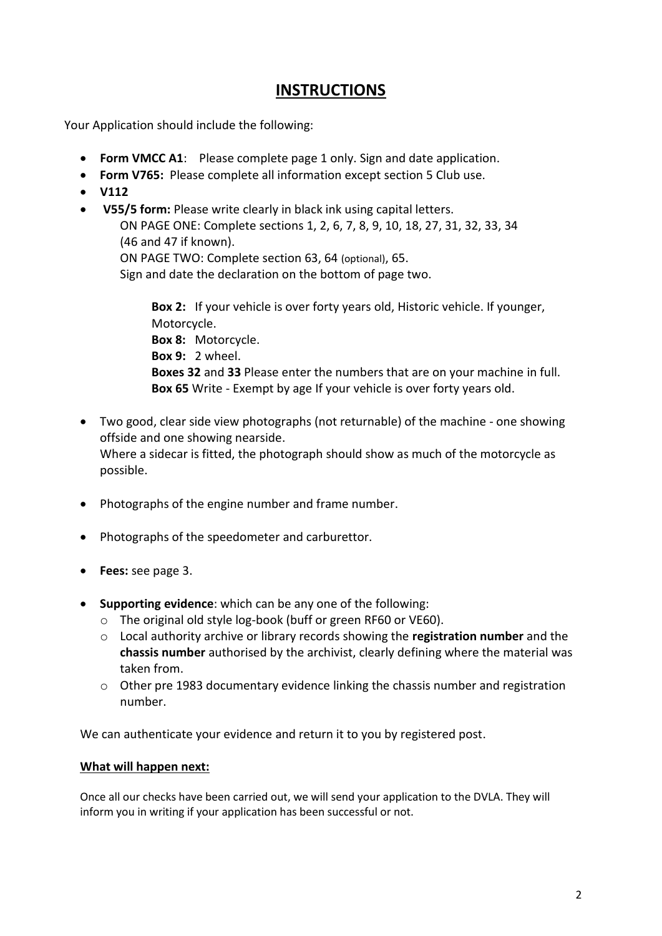### **INSTRUCTIONS**

Your Application should include the following:

- **Form VMCC A1**: Please complete page 1 only. Sign and date application.
- **Form V765:** Please complete all information except section 5 Club use.
- **V112**
- **V55/5 form:** Please write clearly in black ink using capital letters. ON PAGE ONE: Complete sections 1, 2, 6, 7, 8, 9, 10, 18, 27, 31, 32, 33, 34 (46 and 47 if known). ON PAGE TWO: Complete section 63, 64 (optional), 65. Sign and date the declaration on the bottom of page two.

**Box 2:** If your vehicle is over forty years old, Historic vehicle. If younger, Motorcycle. **Box 8:** Motorcycle. **Box 9:** 2 wheel. **Boxes 32** and **33** Please enter the numbers that are on your machine in full. **Box 65** Write - Exempt by age If your vehicle is over forty years old.

- Two good, clear side view photographs (not returnable) of the machine one showing offside and one showing nearside. Where a sidecar is fitted, the photograph should show as much of the motorcycle as possible.
- Photographs of the engine number and frame number.
- Photographs of the speedometer and carburettor.
- **Fees:** see page 3.
- **Supporting evidence**: which can be any one of the following:
	- o The original old style log-book (buff or green RF60 or VE60).
	- o Local authority archive or library records showing the **registration number** and the **chassis number** authorised by the archivist, clearly defining where the material was taken from.
	- $\circ$  Other pre 1983 documentary evidence linking the chassis number and registration number.

We can authenticate your evidence and return it to you by registered post.

### **What will happen next:**

Once all our checks have been carried out, we will send your application to the DVLA. They will inform you in writing if your application has been successful or not.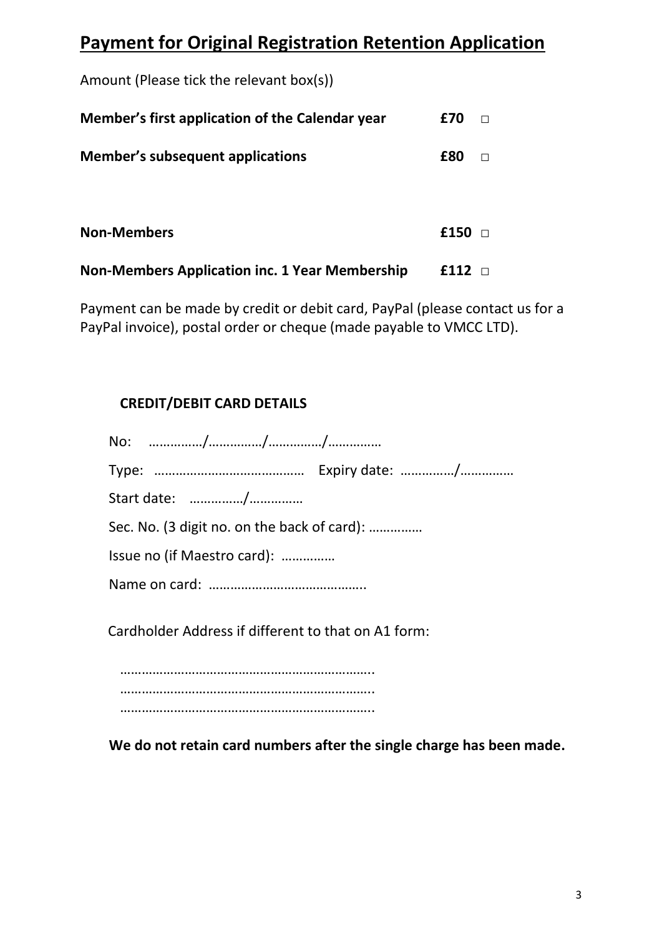# **Payment for Original Registration Retention Application**

Amount (Please tick the relevant box(s))

| Member's first application of the Calendar year       | £70  |  |
|-------------------------------------------------------|------|--|
| Member's subsequent applications                      | £80  |  |
| <b>Non-Members</b>                                    | £150 |  |
| <b>Non-Members Application inc. 1 Year Membership</b> | £112 |  |

Payment can be made by credit or debit card, PayPal (please contact us for a PayPal invoice), postal order or cheque (made payable to VMCC LTD).

### **CREDIT/DEBIT CARD DETAILS**

| Start date: /                                       |
|-----------------------------------------------------|
| Sec. No. (3 digit no. on the back of card):         |
| Issue no (if Maestro card):                         |
|                                                     |
| Cardholder Address if different to that on A1 form: |

…………………………………………………………… …………………………………………………………….. ……………………………………………………………..

**We do not retain card numbers after the single charge has been made.**